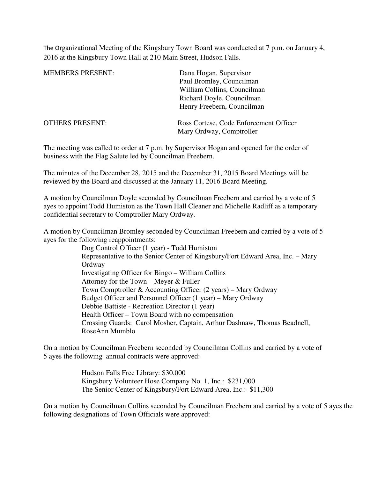The Organizational Meeting of the Kingsbury Town Board was conducted at 7 p.m. on January 4, 2016 at the Kingsbury Town Hall at 210 Main Street, Hudson Falls.

| <b>MEMBERS PRESENT:</b> | Dana Hogan, Supervisor                 |
|-------------------------|----------------------------------------|
|                         | Paul Bromley, Councilman               |
|                         | William Collins, Councilman            |
|                         | Richard Doyle, Councilman              |
|                         | Henry Freebern, Councilman             |
| <b>OTHERS PRESENT:</b>  | Ross Cortese, Code Enforcement Officer |
|                         | Mary Ordway, Comptroller               |

The meeting was called to order at 7 p.m. by Supervisor Hogan and opened for the order of business with the Flag Salute led by Councilman Freebern.

The minutes of the December 28, 2015 and the December 31, 2015 Board Meetings will be reviewed by the Board and discussed at the January 11, 2016 Board Meeting.

A motion by Councilman Doyle seconded by Councilman Freebern and carried by a vote of 5 ayes to appoint Todd Humiston as the Town Hall Cleaner and Michelle Radliff as a temporary confidential secretary to Comptroller Mary Ordway.

A motion by Councilman Bromley seconded by Councilman Freebern and carried by a vote of 5 ayes for the following reappointments:

> Dog Control Officer (1 year) - Todd Humiston Representative to the Senior Center of Kingsbury/Fort Edward Area, Inc. – Mary **Ordway** Investigating Officer for Bingo – William Collins Attorney for the Town – Meyer & Fuller Town Comptroller & Accounting Officer (2 years) – Mary Ordway Budget Officer and Personnel Officer (1 year) – Mary Ordway Debbie Battiste - Recreation Director (1 year) Health Officer – Town Board with no compensation Crossing Guards: Carol Mosher, Captain, Arthur Dashnaw, Thomas Beadnell, RoseAnn Mumblo

On a motion by Councilman Freebern seconded by Councilman Collins and carried by a vote of 5 ayes the following annual contracts were approved:

> Hudson Falls Free Library: \$30,000 Kingsbury Volunteer Hose Company No. 1, Inc.: \$231,000 The Senior Center of Kingsbury/Fort Edward Area, Inc.: \$11,300

On a motion by Councilman Collins seconded by Councilman Freebern and carried by a vote of 5 ayes the following designations of Town Officials were approved: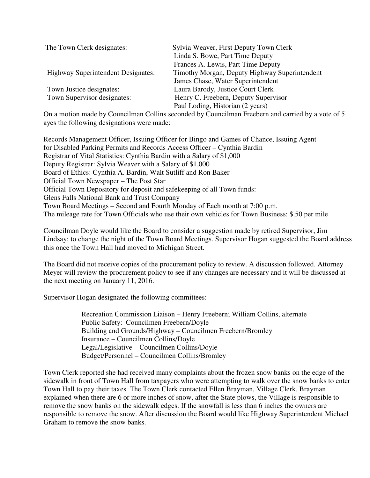| The Town Clerk designates:                              | Sylvia Weaver, First Deputy Town Clerk<br>Linda S. Bowe, Part Time Deputy<br>Frances A. Lewis, Part Time Deputy |
|---------------------------------------------------------|-----------------------------------------------------------------------------------------------------------------|
| <b>Highway Superintendent Designates:</b>               | Timothy Morgan, Deputy Highway Superintendent<br>James Chase, Water Superintendent                              |
| Town Justice designates:<br>Town Supervisor designates: | Laura Barody, Justice Court Clerk<br>Henry C. Freebern, Deputy Supervisor<br>Paul Loding, Historian (2 years)   |

On a motion made by Councilman Collins seconded by Councilman Freebern and carried by a vote of 5 ayes the following designations were made:

Records Management Officer, Issuing Officer for Bingo and Games of Chance, Issuing Agent for Disabled Parking Permits and Records Access Officer – Cynthia Bardin Registrar of Vital Statistics: Cynthia Bardin with a Salary of \$1,000 Deputy Registrar: Sylvia Weaver with a Salary of \$1,000 Board of Ethics: Cynthia A. Bardin, Walt Sutliff and Ron Baker Official Town Newspaper – The Post Star Official Town Depository for deposit and safekeeping of all Town funds: Glens Falls National Bank and Trust Company Town Board Meetings – Second and Fourth Monday of Each month at 7:00 p.m. The mileage rate for Town Officials who use their own vehicles for Town Business: \$.50 per mile

Councilman Doyle would like the Board to consider a suggestion made by retired Supervisor, Jim Lindsay; to change the night of the Town Board Meetings. Supervisor Hogan suggested the Board address this once the Town Hall had moved to Michigan Street.

The Board did not receive copies of the procurement policy to review. A discussion followed. Attorney Meyer will review the procurement policy to see if any changes are necessary and it will be discussed at the next meeting on January 11, 2016.

Supervisor Hogan designated the following committees:

Recreation Commission Liaison – Henry Freebern; William Collins, alternate Public Safety: Councilmen Freebern/Doyle Building and Grounds/Highway – Councilmen Freebern/Bromley Insurance – Councilmen Collins/Doyle Legal/Legislative – Councilmen Collins/Doyle Budget/Personnel – Councilmen Collins/Bromley

Town Clerk reported she had received many complaints about the frozen snow banks on the edge of the sidewalk in front of Town Hall from taxpayers who were attempting to walk over the snow banks to enter Town Hall to pay their taxes. The Town Clerk contacted Ellen Brayman, Village Clerk. Brayman explained when there are 6 or more inches of snow, after the State plows, the Village is responsible to remove the snow banks on the sidewalk edges. If the snowfall is less than 6 inches the owners are responsible to remove the snow. After discussion the Board would like Highway Superintendent Michael Graham to remove the snow banks.